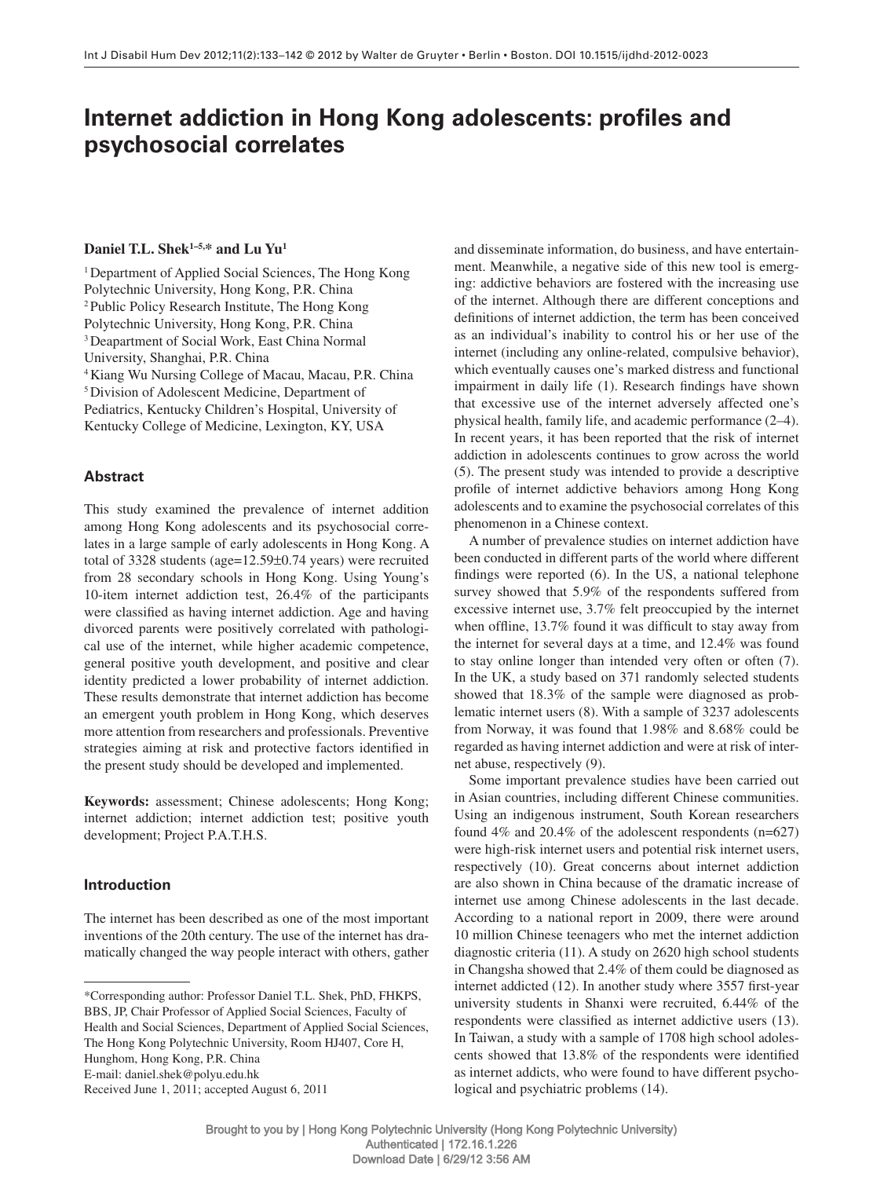# **Internet addiction in Hong Kong adolescents: profiles and psychosocial correlates**

# Daniel T.L. Shek<sup>1-5,\*</sup> and Lu Yu<sup>1</sup>

<sup>1</sup>Department of Applied Social Sciences, The Hong Kong Polytechnic University, Hong Kong, P.R. China <sup>2</sup> Public Policy Research Institute, The Hong Kong Polytechnic University, Hong Kong, P.R. China <sup>3</sup> Deapartment of Social Work, East China Normal University, Shanghai, P.R. China 4 Kiang Wu Nursing College of Macau , Macau , P.R. China <sup>5</sup> Division of Adolescent Medicine, Department of Pediatrics, Kentucky Children's Hospital, University of Kentucky College of Medicine, Lexington, KY, USA

# **Abstract**

 This study examined the prevalence of internet addition among Hong Kong adolescents and its psychosocial correlates in a large sample of early adolescents in Hong Kong. A total of  $3328$  students (age= $12.59\pm0.74$  years) were recruited from 28 secondary schools in Hong Kong. Using Young's 10-item internet addiction test, 26.4% of the participants were classified as having internet addiction. Age and having divorced parents were positively correlated with pathological use of the internet, while higher academic competence, general positive youth development, and positive and clear identity predicted a lower probability of internet addiction. These results demonstrate that internet addiction has become an emergent youth problem in Hong Kong, which deserves more attention from researchers and professionals. Preventive strategies aiming at risk and protective factors identified in the present study should be developed and implemented.

**Keywords:** assessment; Chinese adolescents; Hong Kong; internet addiction; internet addiction test; positive youth development; Project P.A.T.H.S.

# **Introduction**

 The internet has been described as one of the most important inventions of the 20th century. The use of the internet has dramatically changed the way people interact with others, gather

and disseminate information, do business, and have entertainment. Meanwhile, a negative side of this new tool is emerging: addictive behaviors are fostered with the increasing use of the internet. Although there are different conceptions and definitions of internet addiction, the term has been conceived as an individual's inability to control his or her use of the internet (including any online-related, compulsive behavior), which eventually causes one's marked distress and functional impairment in daily life (1). Research findings have shown that excessive use of the internet adversely affected one's physical health, family life, and academic performance  $(2-4)$ . In recent years, it has been reported that the risk of internet addiction in adolescents continues to grow across the world (5) . The present study was intended to provide a descriptive profile of internet addictive behaviors among Hong Kong adolescents and to examine the psychosocial correlates of this phenomenon in a Chinese context.

 A number of prevalence studies on internet addiction have been conducted in different parts of the world where different findings were reported  $(6)$ . In the US, a national telephone survey showed that 5.9% of the respondents suffered from excessive internet use, 3.7% felt preoccupied by the internet when offline, 13.7% found it was difficult to stay away from the internet for several days at a time, and 12.4% was found to stay online longer than intended very often or often  $(7)$ . In the UK, a study based on 371 randomly selected students showed that 18.3% of the sample were diagnosed as problematic internet users (8) . With a sample of 3237 adolescents from Norway, it was found that  $1.98\%$  and  $8.68\%$  could be regarded as having internet addiction and were at risk of internet abuse, respectively  $(9)$ .

 Some important prevalence studies have been carried out in Asian countries, including different Chinese communities. Using an indigenous instrument, South Korean researchers found  $4\%$  and  $20.4\%$  of the adolescent respondents (n=627) were high-risk internet users and potential risk internet users, respectively (10). Great concerns about internet addiction are also shown in China because of the dramatic increase of internet use among Chinese adolescents in the last decade. According to a national report in 2009, there were around 10 million Chinese teenagers who met the internet addiction diagnostic criteria (11) . A study on 2620 high school students in Changsha showed that 2.4 % of them could be diagnosed as internet addicted (12). In another study where 3557 first-year university students in Shanxi were recruited, 6.44% of the respondents were classified as internet addictive users (13). In Taiwan, a study with a sample of 1708 high school adolescents showed that 13.8% of the respondents were identified as internet addicts, who were found to have different psychological and psychiatric problems  $(14)$ .

 <sup>\*</sup>Corresponding author: Professor Daniel T.L. Shek, PhD, FHKPS, BBS, JP, Chair Professor of Applied Social Sciences, Faculty of Health and Social Sciences, Department of Applied Social Sciences, The Hong Kong Polytechnic University, Room HJ407, Core H, Hunghom, Hong Kong, P.R. China E-mail: daniel.shek@polyu.edu.hk Received June 1, 2011; accepted August 6, 2011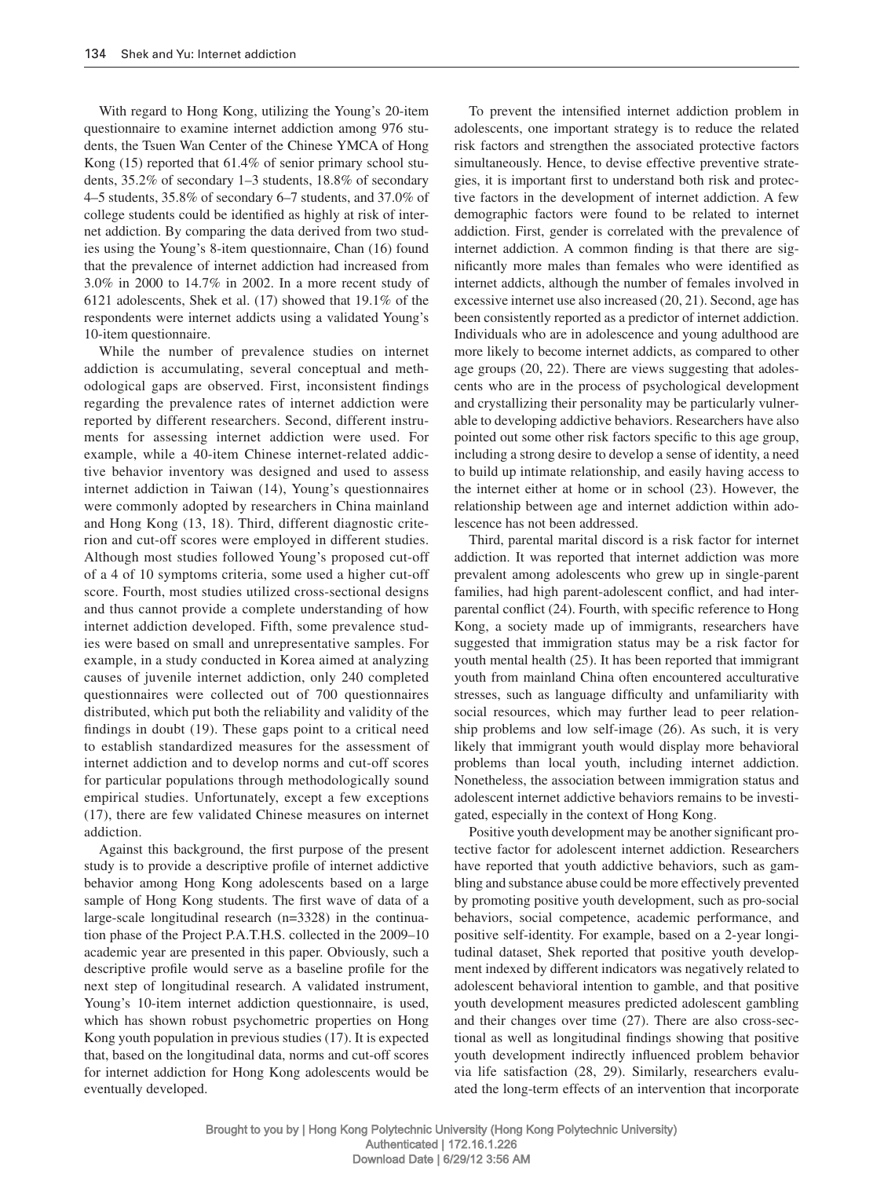With regard to Hong Kong, utilizing the Young's 20-item questionnaire to examine internet addiction among 976 students, the Tsuen Wan Center of the Chinese YMCA of Hong Kong (15) reported that 61.4% of senior primary school students,  $35.2\%$  of secondary 1–3 students,  $18.8\%$  of secondary 4–5 students, 35.8% of secondary 6–7 students, and 37.0% of college students could be identified as highly at risk of internet addiction. By comparing the data derived from two studies using the Young's 8-item questionnaire, Chan (16) found that the prevalence of internet addiction had increased from 3.0 % in 2000 to 14.7 % in 2002. In a more recent study of 6121 adolescents, Shek et al.  $(17)$  showed that 19.1% of the respondents were internet addicts using a validated Young's 10-item questionnaire.

 While the number of prevalence studies on internet addiction is accumulating, several conceptual and methodological gaps are observed. First, inconsistent findings regarding the prevalence rates of internet addiction were reported by different researchers. Second, different instruments for assessing internet addiction were used. For example, while a 40-item Chinese internet-related addictive behavior inventory was designed and used to assess internet addiction in Taiwan (14), Young's questionnaires were commonly adopted by researchers in China mainland and Hong Kong (13, 18) . Third, different diagnostic criterion and cut-off scores were employed in different studies. Although most studies followed Young's proposed cut-off of a 4 of 10 symptoms criteria, some used a higher cut-off score. Fourth, most studies utilized cross-sectional designs and thus cannot provide a complete understanding of how internet addiction developed. Fifth, some prevalence studies were based on small and unrepresentative samples. For example, in a study conducted in Korea aimed at analyzing causes of juvenile internet addiction, only 240 completed questionnaires were collected out of 700 questionnaires distributed, which put both the reliability and validity of the findings in doubt  $(19)$ . These gaps point to a critical need to establish standardized measures for the assessment of internet addiction and to develop norms and cut-off scores for particular populations through methodologically sound empirical studies. Unfortunately, except a few exceptions (17) , there are few validated Chinese measures on internet addiction.

Against this background, the first purpose of the present study is to provide a descriptive profile of internet addictive behavior among Hong Kong adolescents based on a large sample of Hong Kong students. The first wave of data of a large-scale longitudinal research  $(n=3328)$  in the continuation phase of the Project P.A.T.H.S. collected in the 2009-10 academic year are presented in this paper. Obviously, such a descriptive profile would serve as a baseline profile for the next step of longitudinal research. A validated instrument, Young's 10-item internet addiction questionnaire, is used, which has shown robust psychometric properties on Hong Kong youth population in previous studies (17) . It is expected that, based on the longitudinal data, norms and cut-off scores for internet addiction for Hong Kong adolescents would be eventually developed.

To prevent the intensified internet addiction problem in adolescents, one important strategy is to reduce the related risk factors and strengthen the associated protective factors simultaneously. Hence, to devise effective preventive strategies, it is important first to understand both risk and protective factors in the development of internet addiction. A few demographic factors were found to be related to internet addiction. First, gender is correlated with the prevalence of internet addiction. A common finding is that there are significantly more males than females who were identified as internet addicts, although the number of females involved in excessive internet use also increased (20, 21) . Second, age has been consistently reported as a predictor of internet addiction. Individuals who are in adolescence and young adulthood are more likely to become internet addicts, as compared to other age groups (20, 22). There are views suggesting that adolescents who are in the process of psychological development and crystallizing their personality may be particularly vulnerable to developing addictive behaviors. Researchers have also pointed out some other risk factors specific to this age group, including a strong desire to develop a sense of identity, a need to build up intimate relationship, and easily having access to the internet either at home or in school (23) . However, the relationship between age and internet addiction within adolescence has not been addressed.

 Third, parental marital discord is a risk factor for internet addiction. It was reported that internet addiction was more prevalent among adolescents who grew up in single-parent families, had high parent-adolescent conflict, and had interparental conflict (24). Fourth, with specific reference to Hong Kong, a society made up of immigrants, researchers have suggested that immigration status may be a risk factor for youth mental health (25) . It has been reported that immigrant youth from mainland China often encountered acculturative stresses, such as language difficulty and unfamiliarity with social resources, which may further lead to peer relationship problems and low self-image (26) . As such, it is very likely that immigrant youth would display more behavioral problems than local youth, including internet addiction. Nonetheless, the association between immigration status and adolescent internet addictive behaviors remains to be investigated, especially in the context of Hong Kong.

Positive youth development may be another significant protective factor for adolescent internet addiction. Researchers have reported that youth addictive behaviors, such as gambling and substance abuse could be more effectively prevented by promoting positive youth development, such as pro-social behaviors, social competence, academic performance, and positive self-identity. For example, based on a 2-year longitudinal dataset, Shek reported that positive youth development indexed by different indicators was negatively related to adolescent behavioral intention to gamble, and that positive youth development measures predicted adolescent gambling and their changes over time (27). There are also cross-sectional as well as longitudinal findings showing that positive youth development indirectly influenced problem behavior via life satisfaction (28, 29). Similarly, researchers evaluated the long-term effects of an intervention that incorporate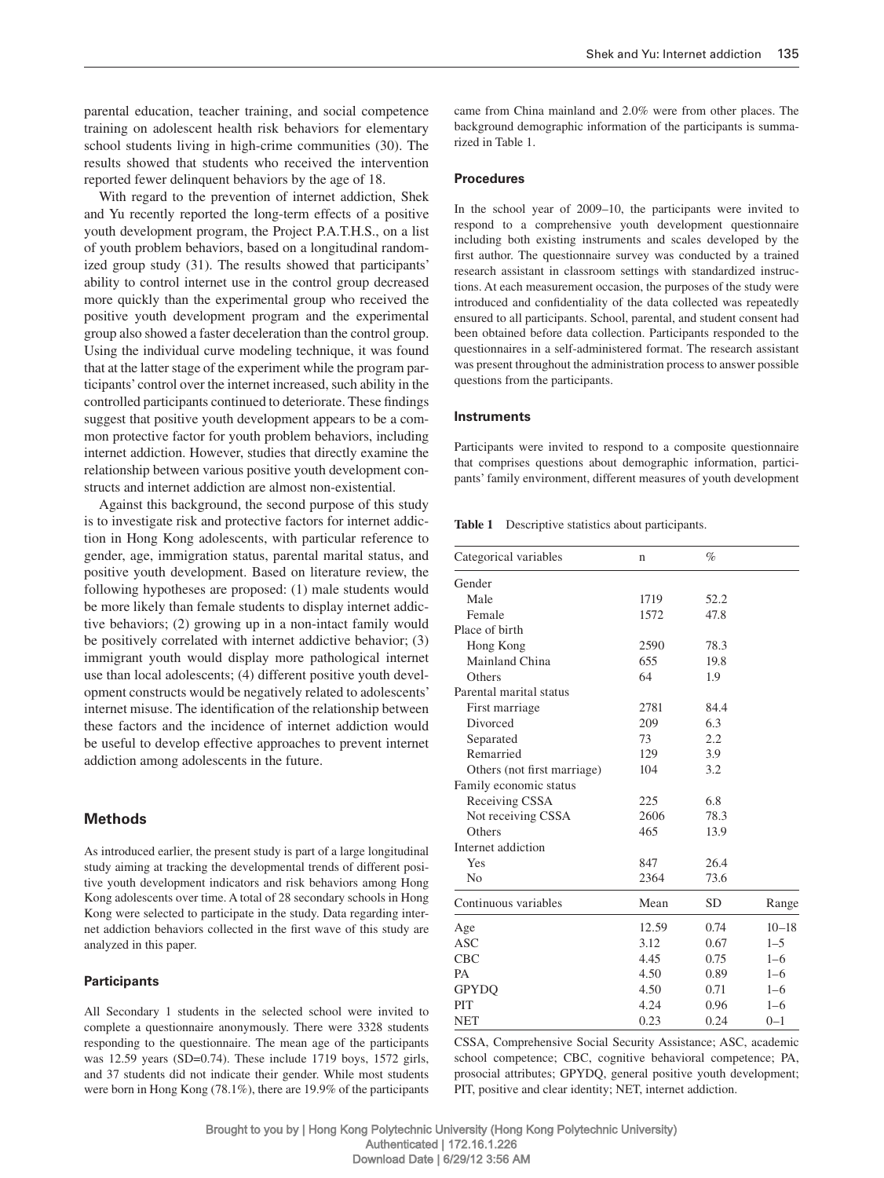parental education, teacher training, and social competence training on adolescent health risk behaviors for elementary school students living in high-crime communities (30). The results showed that students who received the intervention reported fewer delinquent behaviors by the age of 18.

 With regard to the prevention of internet addiction, Shek and Yu recently reported the long-term effects of a positive youth development program, the Project P.A.T.H.S., on a list of youth problem behaviors, based on a longitudinal randomized group study (31). The results showed that participants' ability to control internet use in the control group decreased more quickly than the experimental group who received the positive youth development program and the experimental group also showed a faster deceleration than the control group. Using the individual curve modeling technique, it was found that at the latter stage of the experiment while the program participants ' control over the internet increased, such ability in the controlled participants continued to deteriorate. These findings suggest that positive youth development appears to be a common protective factor for youth problem behaviors, including internet addiction. However, studies that directly examine the relationship between various positive youth development constructs and internet addiction are almost non-existential.

 Against this background, the second purpose of this study is to investigate risk and protective factors for internet addiction in Hong Kong adolescents, with particular reference to gender, age, immigration status, parental marital status, and positive youth development. Based on literature review, the following hypotheses are proposed: (1) male students would be more likely than female students to display internet addictive behaviors; (2) growing up in a non-intact family would be positively correlated with internet addictive behavior; (3) immigrant youth would display more pathological internet use than local adolescents; (4) different positive youth development constructs would be negatively related to adolescents ' internet misuse. The identification of the relationship between these factors and the incidence of internet addiction would be useful to develop effective approaches to prevent internet addiction among adolescents in the future.

# **Methods**

 As introduced earlier, the present study is part of a large longitudinal study aiming at tracking the developmental trends of different positive youth development indicators and risk behaviors among Hong Kong adolescents over time. A total of 28 secondary schools in Hong Kong were selected to participate in the study. Data regarding internet addiction behaviors collected in the first wave of this study are analyzed in this paper.

# **Participants**

 All Secondary 1 students in the selected school were invited to complete a questionnaire anonymously. There were 3328 students responding to the questionnaire. The mean age of the participants was  $12.59$  years (SD=0.74). These include 1719 boys, 1572 girls, and 37 students did not indicate their gender. While most students were born in Hong Kong (78.1%), there are 19.9% of the participants came from China mainland and 2.0% were from other places. The background demographic information of the participants is summarized in Table 1.

# **Procedures**

In the school year of  $2009-10$ , the participants were invited to respond to a comprehensive youth development questionnaire including both existing instruments and scales developed by the first author. The questionnaire survey was conducted by a trained research assistant in classroom settings with standardized instructions. At each measurement occasion, the purposes of the study were introduced and confidentiality of the data collected was repeatedly ensured to all participants. School, parental, and student consent had been obtained before data collection. Participants responded to the questionnaires in a self-administered format. The research assistant was present throughout the administration process to answer possible questions from the participants.

# **Instruments**

 Participants were invited to respond to a composite questionnaire that comprises questions about demographic information, participants ' family environment, different measures of youth development

**Table 1** Descriptive statistics about participants.

| Categorical variables       | n     | $\%$      |           |
|-----------------------------|-------|-----------|-----------|
| Gender                      |       |           |           |
| Male                        | 1719  | 52.2      |           |
| Female                      | 1572  | 47.8      |           |
| Place of birth              |       |           |           |
| Hong Kong                   | 2590  | 78.3      |           |
| Mainland China              | 655   | 19.8      |           |
| Others                      | 64    | 1.9       |           |
| Parental marital status     |       |           |           |
| First marriage              | 2781  | 84.4      |           |
| Divorced                    | 209   | 6.3       |           |
| Separated                   | 73    | 2.2       |           |
| Remarried                   | 129   | 3.9       |           |
| Others (not first marriage) | 104   | 3.2       |           |
| Family economic status      |       |           |           |
| Receiving CSSA              | 225   | 6.8       |           |
| Not receiving CSSA          | 2606  | 78.3      |           |
| Others                      | 465   | 13.9      |           |
| Internet addiction          |       |           |           |
| Yes                         | 847   | 26.4      |           |
| No                          | 2364  | 73.6      |           |
| Continuous variables        | Mean  | <b>SD</b> | Range     |
| Age                         | 12.59 | 0.74      | $10 - 18$ |
| <b>ASC</b>                  | 3.12  | 0.67      | $1 - 5$   |
| <b>CBC</b>                  | 4.45  | 0.75      | $1 - 6$   |
| PA                          | 4.50  | 0.89      | $1 - 6$   |
| <b>GPYDQ</b>                | 4.50  | 0.71      | $1 - 6$   |
| PIT                         | 4.24  | 0.96      | $1 - 6$   |
| <b>NET</b>                  | 0.23  | 0.24      | $0 - 1$   |

 CSSA, Comprehensive Social Security Assistance; ASC, academic school competence; CBC, cognitive behavioral competence; PA, prosocial attributes; GPYDQ, general positive youth development; PIT, positive and clear identity; NET, internet addiction.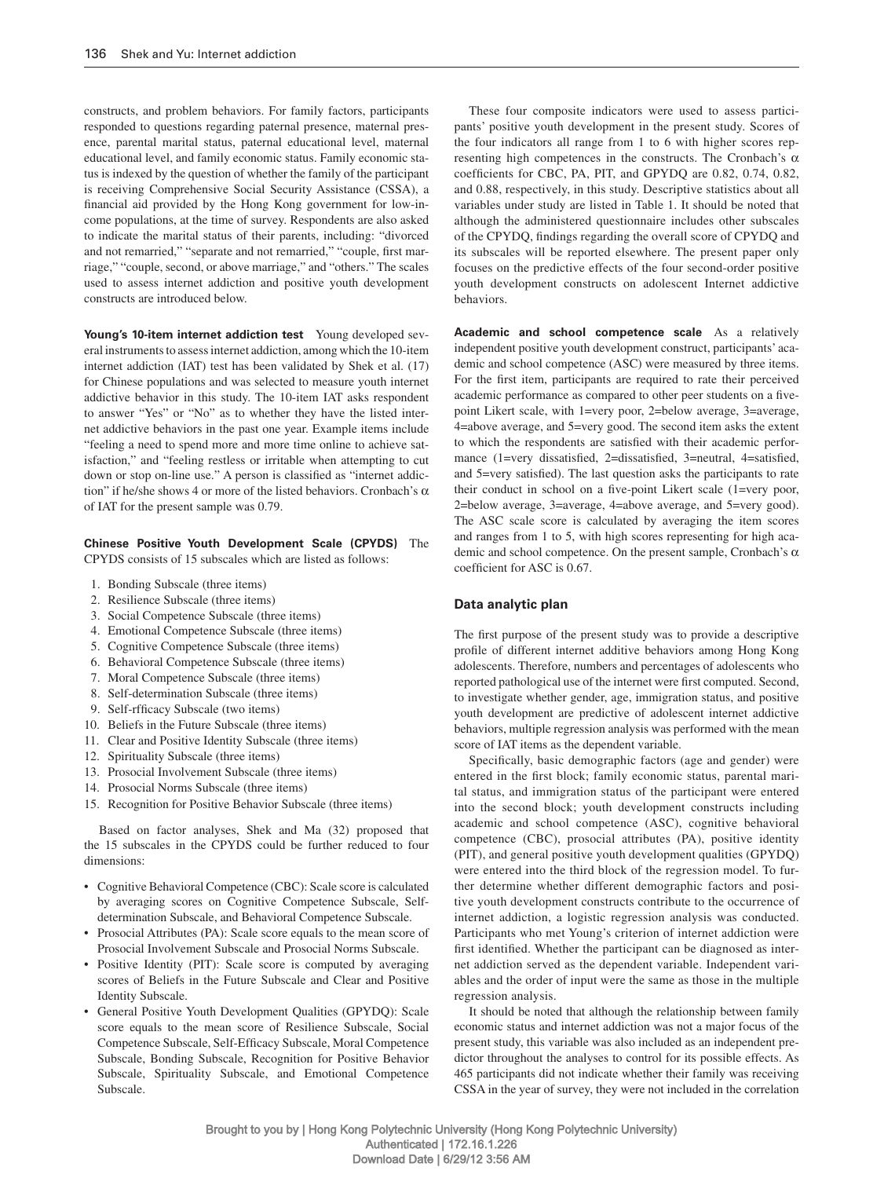constructs, and problem behaviors. For family factors, participants responded to questions regarding paternal presence, maternal presence, parental marital status, paternal educational level, maternal educational level, and family economic status. Family economic status is indexed by the question of whether the family of the participant is receiving Comprehensive Social Security Assistance (CSSA), a financial aid provided by the Hong Kong government for low-income populations, at the time of survey. Respondents are also asked to indicate the marital status of their parents, including: " divorced and not remarried," "separate and not remarried," "couple, first marriage," "couple, second, or above marriage," and "others." The scales used to assess internet addiction and positive youth development constructs are introduced below.

**Young's 10-item internet addiction test** Young developed several instruments to assess internet addiction, among which the 10-item internet addiction (IAT) test has been validated by Shek et al. (17) for Chinese populations and was selected to measure youth internet addictive behavior in this study. The 10-item IAT asks respondent to answer "Yes" or "No" as to whether they have the listed internet addictive behaviors in the past one year. Example items include " feeling a need to spend more and more time online to achieve satisfaction," and "feeling restless or irritable when attempting to cut down or stop on-line use." A person is classified as "internet addiction" if he/she shows 4 or more of the listed behaviors. Cronbach's  $\alpha$ of IAT for the present sample was 0.79.

#### **Chinese Positive Youth Development Scale (CPYDS)** The CPYDS consists of 15 subscales which are listed as follows:

- 1. Bonding Subscale (three items)
- 2. Resilience Subscale (three items)
- 3. Social Competence Subscale (three items)
- 4. Emotional Competence Subscale (three items)
- 5. Cognitive Competence Subscale (three items)
- 6. Behavioral Competence Subscale (three items)
- 7. Moral Competence Subscale (three items)
- 8. Self-determination Subscale (three items)
- 9. Self-rfficacy Subscale (two items)
- 10. Beliefs in the Future Subscale (three items)
- 11. Clear and Positive Identity Subscale (three items)
- 12. Spirituality Subscale (three items)
- 13. Prosocial Involvement Subscale (three items)
- 14. Prosocial Norms Subscale (three items)
- 15. Recognition for Positive Behavior Subscale (three items)

 Based on factor analyses, Shek and Ma (32) proposed that the 15 subscales in the CPYDS could be further reduced to four dimensions:

- Cognitive Behavioral Competence (CBC): Scale score is calculated by averaging scores on Cognitive Competence Subscale, Selfdetermination Subscale, and Behavioral Competence Subscale.
- Prosocial Attributes (PA): Scale score equals to the mean score of Prosocial Involvement Subscale and Prosocial Norms Subscale.
- Positive Identity (PIT): Scale score is computed by averaging scores of Beliefs in the Future Subscale and Clear and Positive Identity Subscale.
- General Positive Youth Development Qualities (GPYDQ): Scale score equals to the mean score of Resilience Subscale, Social Competence Subscale, Self-Efficacy Subscale, Moral Competence Subscale, Bonding Subscale, Recognition for Positive Behavior Subscale, Spirituality Subscale, and Emotional Competence Subscale.

 These four composite indicators were used to assess participants' positive youth development in the present study. Scores of the four indicators all range from 1 to 6 with higher scores representing high competences in the constructs. The Cronbach's  $\alpha$ coefficients for CBC, PA, PIT, and GPYDQ are 0.82, 0.74, 0.82, and 0.88, respectively, in this study. Descriptive statistics about all variables under study are listed in Table 1. It should be noted that although the administered questionnaire includes other subscales of the CPYDQ, findings regarding the overall score of CPYDQ and its subscales will be reported elsewhere. The present paper only focuses on the predictive effects of the four second-order positive youth development constructs on adolescent Internet addictive behaviors.

**Academic and school competence scale** As a relatively independent positive youth development construct, participants ' academic and school competence (ASC) were measured by three items. For the first item, participants are required to rate their perceived academic performance as compared to other peer students on a fivepoint Likert scale, with 1=very poor, 2=below average, 3=average, 4=above average, and 5=very good. The second item asks the extent to which the respondents are satisfied with their academic performance (1=very dissatisfied, 2=dissatisfied, 3=neutral, 4=satisfied, and 5=very satisfied). The last question asks the participants to rate their conduct in school on a five-point Likert scale (1=very poor, 2=below average, 3=average, 4=above average, and 5=very good). The ASC scale score is calculated by averaging the item scores and ranges from 1 to 5, with high scores representing for high academic and school competence. On the present sample, Cronbach's  $\alpha$ coefficient for ASC is 0.67.

#### **Data analytic plan**

The first purpose of the present study was to provide a descriptive profile of different internet additive behaviors among Hong Kong adolescents. Therefore, numbers and percentages of adolescents who reported pathological use of the internet were first computed. Second, to investigate whether gender, age, immigration status, and positive youth development are predictive of adolescent internet addictive behaviors, multiple regression analysis was performed with the mean score of IAT items as the dependent variable.

Specifically, basic demographic factors (age and gender) were entered in the first block; family economic status, parental marital status, and immigration status of the participant were entered into the second block; youth development constructs including academic and school competence (ASC), cognitive behavioral competence (CBC), prosocial attributes (PA), positive identity (PIT), and general positive youth development qualities (GPYDQ) were entered into the third block of the regression model. To further determine whether different demographic factors and positive youth development constructs contribute to the occurrence of internet addiction, a logistic regression analysis was conducted. Participants who met Young's criterion of internet addiction were first identified. Whether the participant can be diagnosed as internet addiction served as the dependent variable. Independent variables and the order of input were the same as those in the multiple regression analysis.

 It should be noted that although the relationship between family economic status and internet addiction was not a major focus of the present study, this variable was also included as an independent predictor throughout the analyses to control for its possible effects. As 465 participants did not indicate whether their family was receiving CSSA in the year of survey, they were not included in the correlation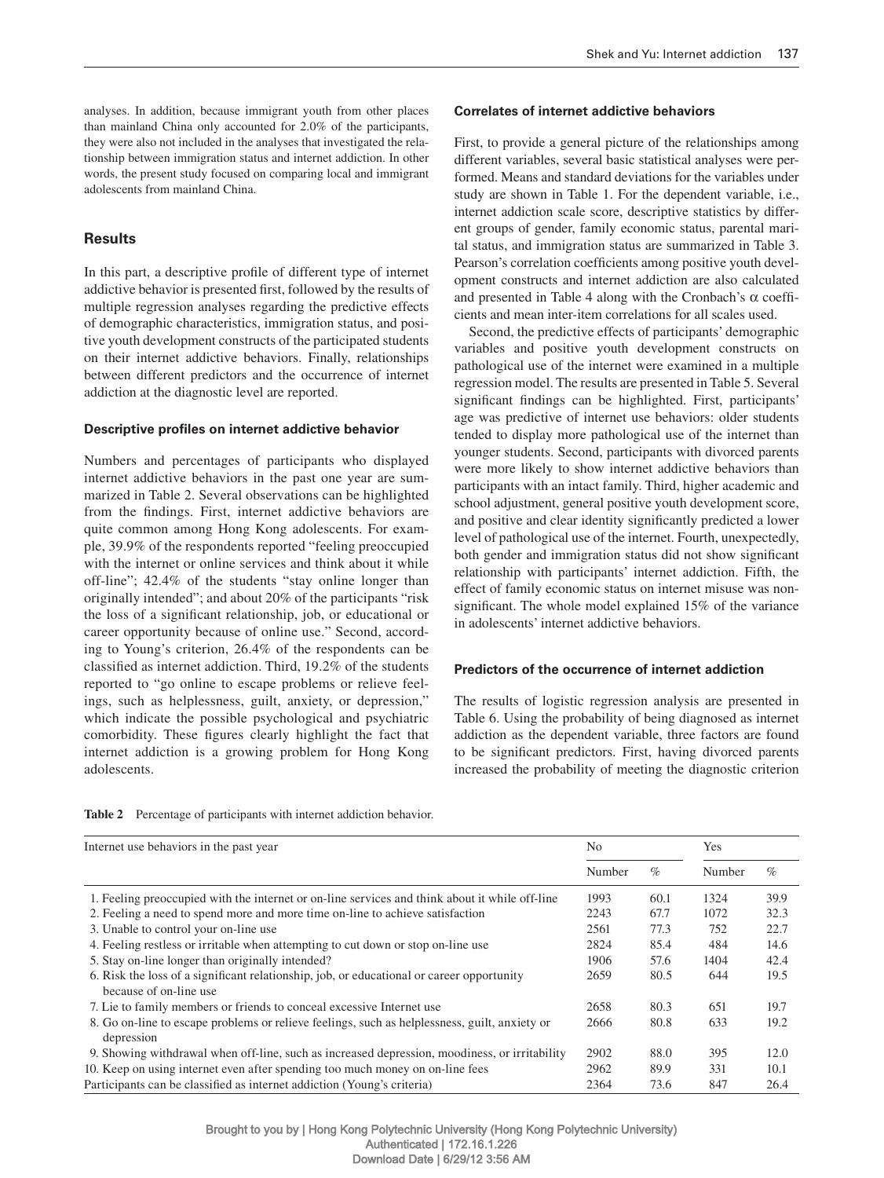analyses. In addition, because immigrant youth from other places than mainland China only accounted for 2.0% of the participants, they were also not included in the analyses that investigated the relationship between immigration status and internet addiction. In other words, the present study focused on comparing local and immigrant adolescents from mainland China.

# **Results**

In this part, a descriptive profile of different type of internet addictive behavior is presented first, followed by the results of multiple regression analyses regarding the predictive effects of demographic characteristics, immigration status, and positive youth development constructs of the participated students on their internet addictive behaviors. Finally, relationships between different predictors and the occurrence of internet addiction at the diagnostic level are reported.

# **Descriptive profiles on internet addictive behavior**

 Numbers and percentages of participants who displayed internet addictive behaviors in the past one year are summarized in Table 2. Several observations can be highlighted from the findings. First, internet addictive behaviors are quite common among Hong Kong adolescents. For example, 39.9% of the respondents reported "feeling preoccupied" with the internet or online services and think about it while off-line";  $42.4\%$  of the students "stay online longer than originally intended"; and about 20% of the participants "risk the loss of a significant relationship, job, or educational or career opportunity because of online use." Second, according to Young's criterion,  $26.4\%$  of the respondents can be classified as internet addiction. Third, 19.2% of the students reported to "go online to escape problems or relieve feelings, such as helplessness, guilt, anxiety, or depression," which indicate the possible psychological and psychiatric comorbidity. These figures clearly highlight the fact that internet addiction is a growing problem for Hong Kong adolescents.

# **Correlates of internet addictive behaviors**

 First, to provide a general picture of the relationships among different variables, several basic statistical analyses were performed. Means and standard deviations for the variables under study are shown in Table 1. For the dependent variable, i.e., internet addiction scale score, descriptive statistics by different groups of gender, family economic status, parental marital status, and immigration status are summarized in Table 3. Pearson's correlation coefficients among positive youth development constructs and internet addiction are also calculated and presented in Table 4 along with the Cronbach's  $\alpha$  coefficients and mean inter-item correlations for all scales used.

Second, the predictive effects of participants' demographic variables and positive youth development constructs on pathological use of the internet were examined in a multiple regression model. The results are presented in Table 5 . Several significant findings can be highlighted. First, participants' age was predictive of internet use behaviors: older students tended to display more pathological use of the internet than younger students. Second, participants with divorced parents were more likely to show internet addictive behaviors than participants with an intact family. Third, higher academic and school adjustment, general positive youth development score, and positive and clear identity significantly predicted a lower level of pathological use of the internet. Fourth, unexpectedly, both gender and immigration status did not show significant relationship with participants' internet addiction. Fifth, the effect of family economic status on internet misuse was nonsignificant. The whole model explained 15% of the variance in adolescents' internet addictive behaviors.

# **Predictors of the occurrence of internet addiction**

 The results of logistic regression analysis are presented in Table 6. Using the probability of being diagnosed as internet addiction as the dependent variable, three factors are found to be significant predictors. First, having divorced parents increased the probability of meeting the diagnostic criterion

|  | Table 2 Percentage of participants with internet addiction behavior. |  |  |  |  |  |
|--|----------------------------------------------------------------------|--|--|--|--|--|
|--|----------------------------------------------------------------------|--|--|--|--|--|

| Internet use behaviors in the past year                                                                             | N <sub>0</sub> |      | Yes    |      |  |
|---------------------------------------------------------------------------------------------------------------------|----------------|------|--------|------|--|
|                                                                                                                     | Number         | $\%$ | Number | $\%$ |  |
| 1. Feeling preoccupied with the internet or on-line services and think about it while off-line                      | 1993           | 60.1 | 1324   | 39.9 |  |
| 2. Feeling a need to spend more and more time on-line to achieve satisfaction                                       | 2243           | 67.7 | 1072   | 32.3 |  |
| 3. Unable to control your on-line use                                                                               | 2561           | 77.3 | 752    | 22.7 |  |
| 4. Feeling restless or irritable when attempting to cut down or stop on-line use                                    | 2824           | 85.4 | 484    | 14.6 |  |
| 5. Stay on-line longer than originally intended?                                                                    | 1906           | 57.6 | 1404   | 42.4 |  |
| 6. Risk the loss of a significant relationship, job, or educational or career opportunity<br>because of on-line use | 2659           | 80.5 | 644    | 19.5 |  |
| 7. Lie to family members or friends to conceal excessive Internet use                                               | 2658           | 80.3 | 651    | 19.7 |  |
| 8. Go on-line to escape problems or relieve feelings, such as helplessness, guilt, anxiety or<br>depression         | 2666           | 80.8 | 633    | 19.2 |  |
| 9. Showing withdrawal when off-line, such as increased depression, moodiness, or irritability                       | 2902           | 88.0 | 395    | 12.0 |  |
| 10. Keep on using internet even after spending too much money on on-line fees                                       | 2962           | 89.9 | 331    | 10.1 |  |
| Participants can be classified as internet addiction (Young's criteria)                                             | 2364           | 73.6 | 847    | 26.4 |  |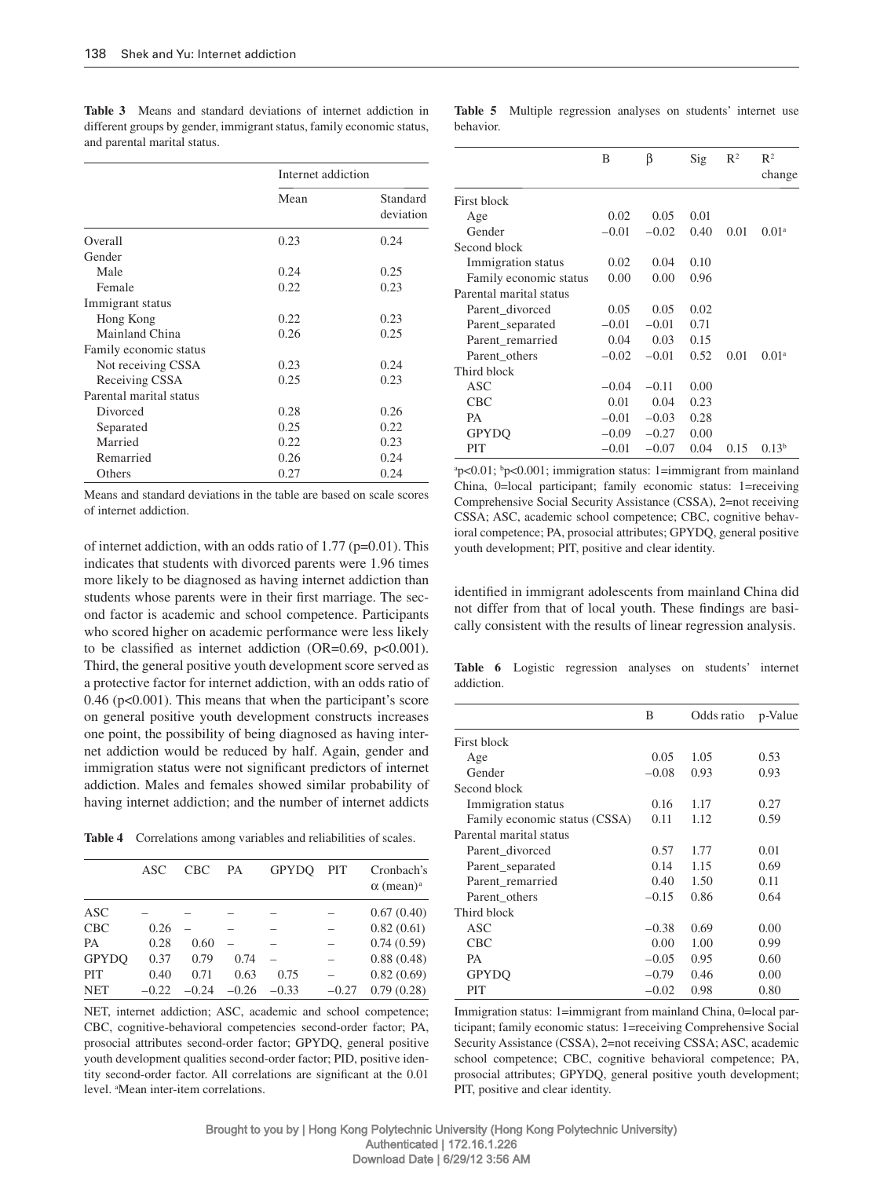|                         | Internet addiction |                       |
|-------------------------|--------------------|-----------------------|
|                         | Mean               | Standard<br>deviation |
| Overall                 | 0.23               | 0.24                  |
| Gender                  |                    |                       |
| Male                    | 0.24               | 0.25                  |
| Female                  | 0.22               | 0.23                  |
| Immigrant status        |                    |                       |
| Hong Kong               | 0.22               | 0.23                  |
| Mainland China          | 0.26               | 0.25                  |
| Family economic status  |                    |                       |
| Not receiving CSSA      | 0.23               | 0.24                  |
| Receiving CSSA          | 0.25               | 0.23                  |
| Parental marital status |                    |                       |
| Divorced                | 0.28               | 0.26                  |
| Separated               | 0.25               | 0.22                  |
| Married                 | 0.22               | 0.23                  |
| Remarried               | 0.26               | 0.24                  |
| Others                  | 0.27               | 0.24                  |

**Table 3** Means and standard deviations of internet addiction in different groups by gender, immigrant status, family economic status, and parental marital status.

 Means and standard deviations in the table are based on scale scores of internet addiction.

of internet addiction, with an odds ratio of  $1.77$  ( $p=0.01$ ). This indicates that students with divorced parents were 1.96 times more likely to be diagnosed as having internet addiction than students whose parents were in their first marriage. The second factor is academic and school competence. Participants who scored higher on academic performance were less likely to be classified as internet addiction (OR= $0.69$ , p< $0.001$ ). Third, the general positive youth development score served as a protective factor for internet addiction, with an odds ratio of 0.46 ( $p < 0.001$ ). This means that when the participant's score on general positive youth development constructs increases one point, the possibility of being diagnosed as having internet addiction would be reduced by half. Again, gender and immigration status were not significant predictors of internet addiction. Males and females showed similar probability of having internet addiction; and the number of internet addicts

**Table 4** Correlations among variables and reliabilities of scales.

|              | ASC     | <b>CBC</b> | РA      | <b>GPYDO</b> | <b>PIT</b> | Cronbach's<br>$\alpha$ (mean) <sup>a</sup> |
|--------------|---------|------------|---------|--------------|------------|--------------------------------------------|
| ASC          |         |            |         |              |            | 0.67(0.40)                                 |
| <b>CBC</b>   | 0.26    |            |         |              |            | 0.82(0.61)                                 |
| <b>PA</b>    | 0.28    | 0.60       |         |              |            | 0.74(0.59)                                 |
| <b>GPYDO</b> | 0.37    | 0.79       | 0.74    |              |            | 0.88(0.48)                                 |
| <b>PIT</b>   | 0.40    | 0.71       | 0.63    | 0.75         |            | 0.82(0.69)                                 |
| <b>NET</b>   | $-0.22$ | $-0.24$    | $-0.26$ | $-0.33$      | $-0.27$    | 0.79(0.28)                                 |

 NET, internet addiction; ASC, academic and school competence; CBC, cognitive-behavioral competencies second-order factor; PA, prosocial attributes second-order factor; GPYDQ, general positive youth development qualities second-order factor; PID, positive identity second-order factor. All correlations are significant at the 0.01 level. a Mean inter-item correlations.

**Table 5** Multiple regression analyses on students' internet use behavior.

|                         | B       | β       | Sig  | $\mathbb{R}^2$ | $\mathbb{R}^2$    |
|-------------------------|---------|---------|------|----------------|-------------------|
|                         |         |         |      |                | change            |
| First block             |         |         |      |                |                   |
| Age                     | 0.02    | 0.05    | 0.01 |                |                   |
| Gender                  | $-0.01$ | $-0.02$ | 0.40 | 0.01           | 0.01 <sup>a</sup> |
| Second block            |         |         |      |                |                   |
| Immigration status      | 0.02    | 0.04    | 0.10 |                |                   |
| Family economic status  | 0.00    | 0.00    | 0.96 |                |                   |
| Parental marital status |         |         |      |                |                   |
| Parent_divorced         | 0.05    | 0.05    | 0.02 |                |                   |
| Parent_separated        | $-0.01$ | $-0.01$ | 0.71 |                |                   |
| Parent_remarried        | 0.04    | 0.03    | 0.15 |                |                   |
| Parent others           | $-0.02$ | $-0.01$ | 0.52 | 0.01           | 0.01 <sup>a</sup> |
| Third block             |         |         |      |                |                   |
| ASC                     | $-0.04$ | $-0.11$ | 0.00 |                |                   |
| <b>CBC</b>              | 0.01    | 0.04    | 0.23 |                |                   |
| <b>PA</b>               | $-0.01$ | $-0.03$ | 0.28 |                |                   |
| GPYDO                   | $-0.09$ | $-0.27$ | 0.00 |                |                   |
| PIT                     | $-0.01$ | $-0.07$ | 0.04 | 0.15           | 0.13 <sup>b</sup> |

<sup>a</sup>p<0.01; <sup>b</sup>p<0.001; immigration status: 1=immigrant from mainland China, 0=local participant; family economic status: 1=receiving Comprehensive Social Security Assistance (CSSA), 2=not receiving CSSA; ASC, academic school competence; CBC, cognitive behavioral competence; PA, prosocial attributes; GPYDQ, general positive youth development; PIT, positive and clear identity.

identified in immigrant adolescents from mainland China did not differ from that of local youth. These findings are basically consistent with the results of linear regression analysis.

Table 6 Logistic regression analyses on students' internet addiction.

|                               | В       | Odds ratio | p-Value |
|-------------------------------|---------|------------|---------|
| First block                   |         |            |         |
| Age                           | 0.05    | 1.05       | 0.53    |
| Gender                        | $-0.08$ | 0.93       | 0.93    |
| Second block                  |         |            |         |
| Immigration status            | 0.16    | 1.17       | 0.27    |
| Family economic status (CSSA) | 0.11    | 1.12       | 0.59    |
| Parental marital status       |         |            |         |
| Parent_divorced               | 0.57    | 1.77       | 0.01    |
| Parent separated              | 0.14    | 1.15       | 0.69    |
| Parent_remarried              | 0.40    | 1.50       | 0.11    |
| Parent_others                 | $-0.15$ | 0.86       | 0.64    |
| Third block                   |         |            |         |
| ASC                           | $-0.38$ | 0.69       | 0.00    |
| CBC                           | 0.00    | 1.00       | 0.99    |
| <b>PA</b>                     | $-0.05$ | 0.95       | 0.60    |
| <b>GPYDO</b>                  | $-0.79$ | 0.46       | 0.00    |
| PIT                           | $-0.02$ | 0.98       | 0.80    |

Immigration status: 1=immigrant from mainland China, 0=local participant; family economic status: 1=receiving Comprehensive Social Security Assistance (CSSA), 2=not receiving CSSA; ASC, academic school competence; CBC, cognitive behavioral competence; PA, prosocial attributes; GPYDQ, general positive youth development; PIT, positive and clear identity.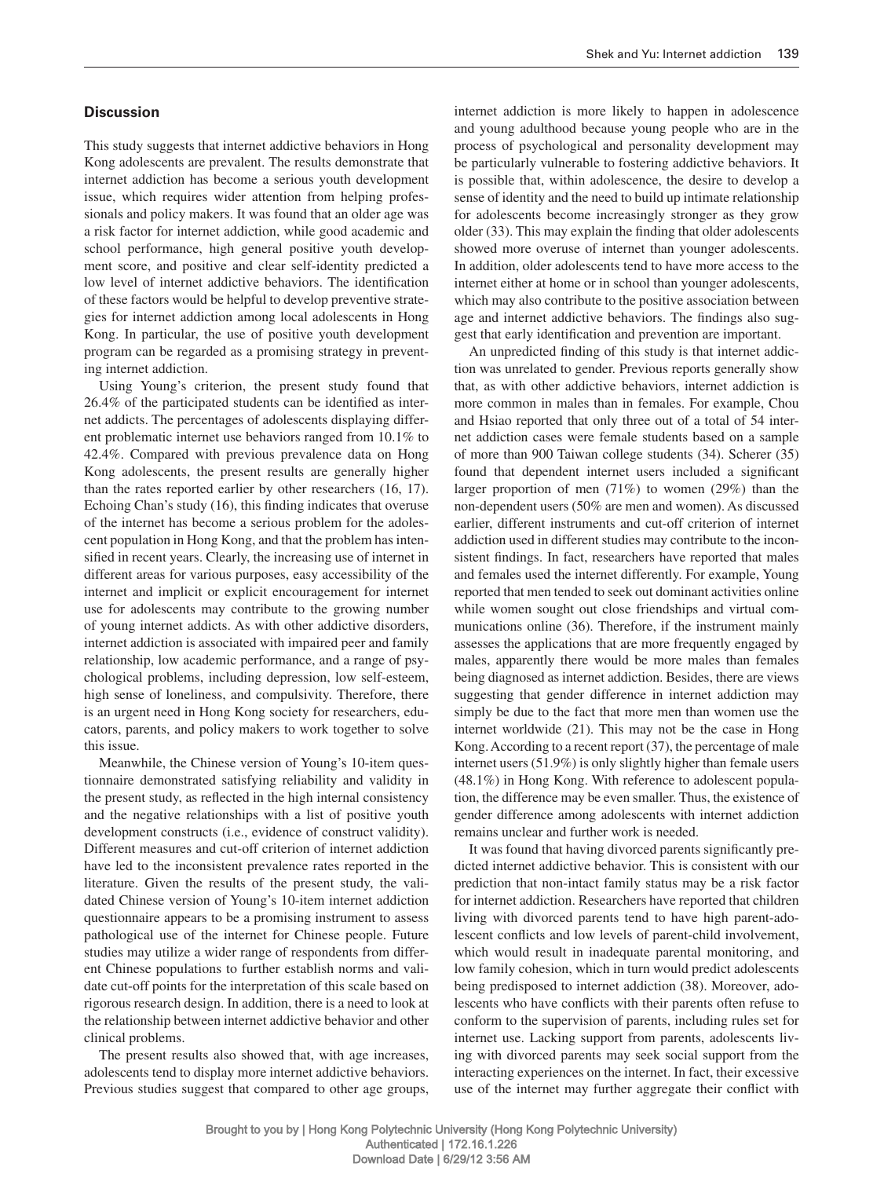# **Discussion**

 This study suggests that internet addictive behaviors in Hong Kong adolescents are prevalent. The results demonstrate that internet addiction has become a serious youth development issue, which requires wider attention from helping professionals and policy makers. It was found that an older age was a risk factor for internet addiction, while good academic and school performance, high general positive youth development score, and positive and clear self-identity predicted a low level of internet addictive behaviors. The identification of these factors would be helpful to develop preventive strategies for internet addiction among local adolescents in Hong Kong. In particular, the use of positive youth development program can be regarded as a promising strategy in preventing internet addiction.

Using Young's criterion, the present study found that  $26.4\%$  of the participated students can be identified as internet addicts. The percentages of adolescents displaying different problematic internet use behaviors ranged from 10.1% to 42.4%. Compared with previous prevalence data on Hong Kong adolescents, the present results are generally higher than the rates reported earlier by other researchers (16, 17) . Echoing Chan's study  $(16)$ , this finding indicates that overuse of the internet has become a serious problem for the adolescent population in Hong Kong, and that the problem has intensified in recent years. Clearly, the increasing use of internet in different areas for various purposes, easy accessibility of the internet and implicit or explicit encouragement for internet use for adolescents may contribute to the growing number of young internet addicts. As with other addictive disorders, internet addiction is associated with impaired peer and family relationship, low academic performance, and a range of psychological problems, including depression, low self-esteem, high sense of loneliness, and compulsivity. Therefore, there is an urgent need in Hong Kong society for researchers, educators, parents, and policy makers to work together to solve this issue.

Meanwhile, the Chinese version of Young's 10-item questionnaire demonstrated satisfying reliability and validity in the present study, as reflected in the high internal consistency and the negative relationships with a list of positive youth development constructs (i.e., evidence of construct validity). Different measures and cut-off criterion of internet addiction have led to the inconsistent prevalence rates reported in the literature. Given the results of the present study, the validated Chinese version of Young's 10-item internet addiction questionnaire appears to be a promising instrument to assess pathological use of the internet for Chinese people. Future studies may utilize a wider range of respondents from different Chinese populations to further establish norms and validate cut-off points for the interpretation of this scale based on rigorous research design. In addition, there is a need to look at the relationship between internet addictive behavior and other clinical problems.

 The present results also showed that, with age increases, adolescents tend to display more internet addictive behaviors. Previous studies suggest that compared to other age groups, internet addiction is more likely to happen in adolescence and young adulthood because young people who are in the process of psychological and personality development may be particularly vulnerable to fostering addictive behaviors. It is possible that, within adolescence, the desire to develop a sense of identity and the need to build up intimate relationship for adolescents become increasingly stronger as they grow older  $(33)$ . This may explain the finding that older adolescents showed more overuse of internet than younger adolescents. In addition, older adolescents tend to have more access to the internet either at home or in school than younger adolescents, which may also contribute to the positive association between age and internet addictive behaviors. The findings also suggest that early identification and prevention are important.

An unpredicted finding of this study is that internet addiction was unrelated to gender. Previous reports generally show that, as with other addictive behaviors, internet addiction is more common in males than in females. For example, Chou and Hsiao reported that only three out of a total of 54 internet addiction cases were female students based on a sample of more than 900 Taiwan college students (34) . Scherer (35) found that dependent internet users included a significant larger proportion of men  $(71\%)$  to women  $(29\%)$  than the non-dependent users (50% are men and women). As discussed earlier, different instruments and cut-off criterion of internet addiction used in different studies may contribute to the inconsistent findings. In fact, researchers have reported that males and females used the internet differently. For example, Young reported that men tended to seek out dominant activities online while women sought out close friendships and virtual communications online (36). Therefore, if the instrument mainly assesses the applications that are more frequently engaged by males, apparently there would be more males than females being diagnosed as internet addiction. Besides, there are views suggesting that gender difference in internet addiction may simply be due to the fact that more men than women use the internet worldwide (21). This may not be the case in Hong Kong. According to a recent report (37) , the percentage of male internet users  $(51.9\%)$  is only slightly higher than female users  $(48.1\%)$  in Hong Kong. With reference to adolescent population, the difference may be even smaller. Thus, the existence of gender difference among adolescents with internet addiction remains unclear and further work is needed.

It was found that having divorced parents significantly predicted internet addictive behavior. This is consistent with our prediction that non-intact family status may be a risk factor for internet addiction. Researchers have reported that children living with divorced parents tend to have high parent-adolescent conflicts and low levels of parent-child involvement, which would result in inadequate parental monitoring, and low family cohesion, which in turn would predict adolescents being predisposed to internet addiction (38). Moreover, adolescents who have conflicts with their parents often refuse to conform to the supervision of parents, including rules set for internet use. Lacking support from parents, adolescents living with divorced parents may seek social support from the interacting experiences on the internet. In fact, their excessive use of the internet may further aggregate their conflict with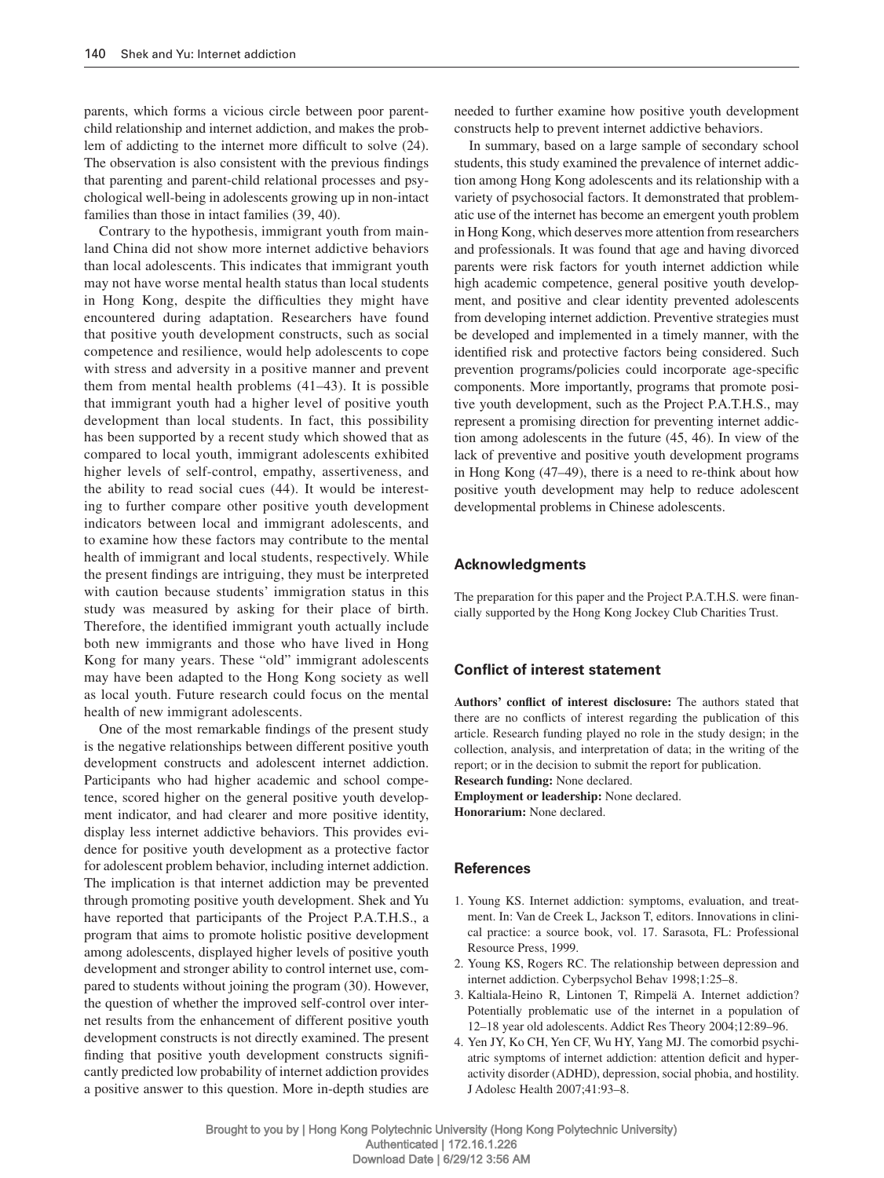parents, which forms a vicious circle between poor parentchild relationship and internet addiction, and makes the problem of addicting to the internet more difficult to solve  $(24)$ . The observation is also consistent with the previous findings that parenting and parent-child relational processes and psychological well-being in adolescents growing up in non-intact families than those in intact families (39, 40).

 Contrary to the hypothesis, immigrant youth from mainland China did not show more internet addictive behaviors than local adolescents. This indicates that immigrant youth may not have worse mental health status than local students in Hong Kong, despite the difficulties they might have encountered during adaptation. Researchers have found that positive youth development constructs, such as social competence and resilience, would help adolescents to cope with stress and adversity in a positive manner and prevent them from mental health problems  $(41-43)$ . It is possible that immigrant youth had a higher level of positive youth development than local students. In fact, this possibility has been supported by a recent study which showed that as compared to local youth, immigrant adolescents exhibited higher levels of self-control, empathy, assertiveness, and the ability to read social cues (44). It would be interesting to further compare other positive youth development indicators between local and immigrant adolescents, and to examine how these factors may contribute to the mental health of immigrant and local students, respectively. While the present findings are intriguing, they must be interpreted with caution because students' immigration status in this study was measured by asking for their place of birth. Therefore, the identified immigrant youth actually include both new immigrants and those who have lived in Hong Kong for many years. These "old" immigrant adolescents may have been adapted to the Hong Kong society as well as local youth. Future research could focus on the mental health of new immigrant adolescents.

One of the most remarkable findings of the present study is the negative relationships between different positive youth development constructs and adolescent internet addiction. Participants who had higher academic and school competence, scored higher on the general positive youth development indicator, and had clearer and more positive identity, display less internet addictive behaviors. This provides evidence for positive youth development as a protective factor for adolescent problem behavior, including internet addiction. The implication is that internet addiction may be prevented through promoting positive youth development. Shek and Yu have reported that participants of the Project P.A.T.H.S., a program that aims to promote holistic positive development among adolescents, displayed higher levels of positive youth development and stronger ability to control internet use, compared to students without joining the program (30). However, the question of whether the improved self-control over internet results from the enhancement of different positive youth development constructs is not directly examined. The present finding that positive youth development constructs significantly predicted low probability of internet addiction provides a positive answer to this question. More in-depth studies are

needed to further examine how positive youth development constructs help to prevent internet addictive behaviors.

 In summary, based on a large sample of secondary school students, this study examined the prevalence of internet addiction among Hong Kong adolescents and its relationship with a variety of psychosocial factors. It demonstrated that problematic use of the internet has become an emergent youth problem in Hong Kong, which deserves more attention from researchers and professionals. It was found that age and having divorced parents were risk factors for youth internet addiction while high academic competence, general positive youth development, and positive and clear identity prevented adolescents from developing internet addiction. Preventive strategies must be developed and implemented in a timely manner, with the identified risk and protective factors being considered. Such prevention programs/policies could incorporate age-specific components. More importantly, programs that promote positive youth development, such as the Project P.A.T.H.S., may represent a promising direction for preventing internet addiction among adolescents in the future (45, 46) . In view of the lack of preventive and positive youth development programs in Hong Kong (47–49), there is a need to re-think about how positive youth development may help to reduce adolescent developmental problems in Chinese adolescents.

#### **Acknowledgments**

The preparation for this paper and the Project P.A.T.H.S. were financially supported by the Hong Kong Jockey Club Charities Trust.

# **Conflict of interest statement**

Authors' conflict of interest disclosure: The authors stated that there are no conflicts of interest regarding the publication of this article. Research funding played no role in the study design; in the collection, analysis, and interpretation of data; in the writing of the report; or in the decision to submit the report for publication. **Research funding:** None declared.

**Employment or leadership:** None declared.

**Honorarium:** None declared.

#### **References**

- 1. Young KS. Internet addiction: symptoms, evaluation, and treatment. In: Van de Creek L, Jackson T, editors. Innovations in clinical practice: a source book, vol. 17. Sarasota, FL: Professional Resource Press, 1999.
- 2. Young KS, Rogers RC. The relationship between depression and internet addiction. Cyberpsychol Behav 1998;1:25-8.
- 3. Kaltiala-Heino R, Lintonen T, Rimpelä A. Internet addiction? Potentially problematic use of the internet in a population of 12-18 year old adolescents. Addict Res Theory 2004;12:89-96.
- 4. Yen JY, Ko CH, Yen CF, Wu HY, Yang MJ. The comorbid psychiatric symptoms of internet addiction: attention deficit and hyperactivity disorder (ADHD), depression, social phobia, and hostility. J Adolesc Health 2007:41:93-8.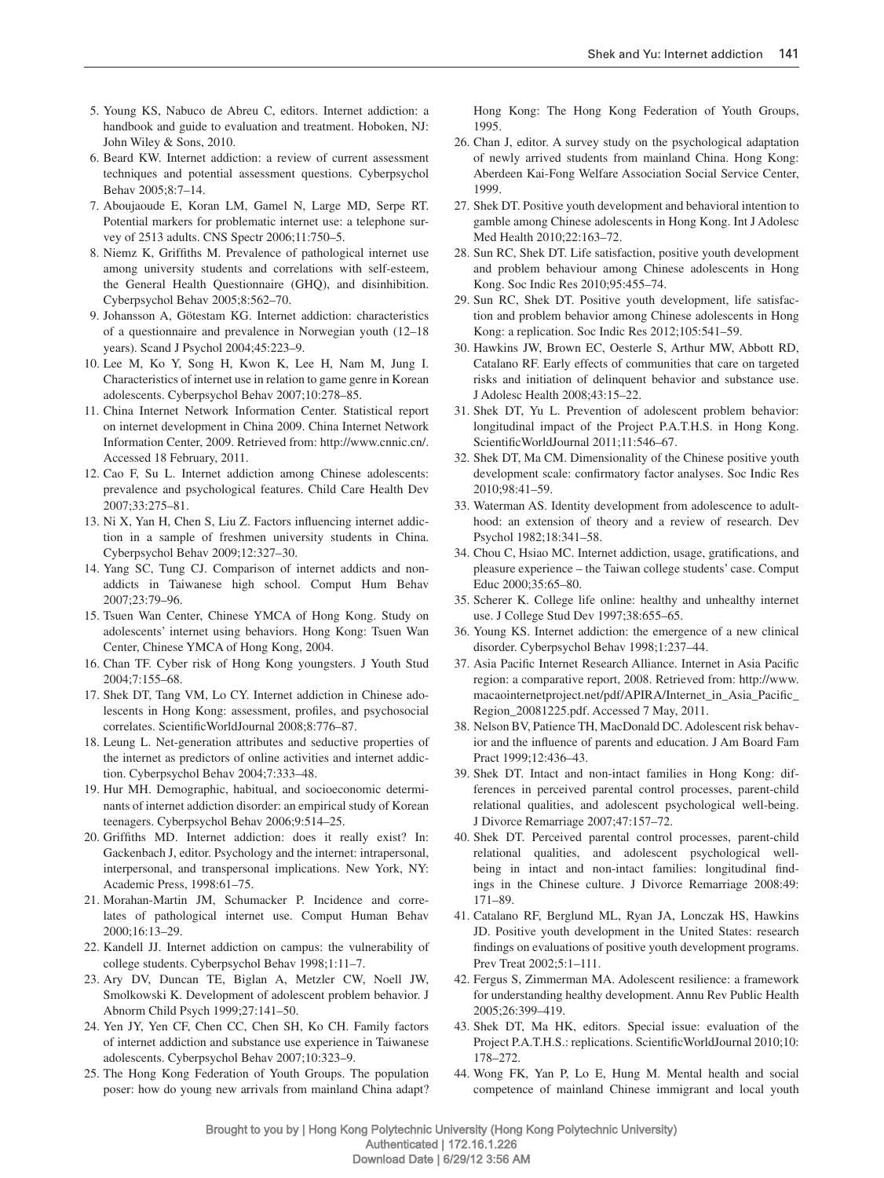- 5. Young KS, Nabuco de Abreu C, editors. Internet addiction: a handbook and guide to evaluation and treatment. Hoboken, NJ: John Wiley & Sons, 2010.
- 6. Beard KW. Internet addiction: a review of current assessment techniques and potential assessment questions. Cyberpsychol Behav 2005;8:7-14.
- 7. Aboujaoude E, Koran LM, Gamel N, Large MD, Serpe RT. Potential markers for problematic internet use: a telephone survey of 2513 adults. CNS Spectr 2006;11:750-5.
- 8. Niemz K, Griffiths M. Prevalence of pathological internet use among university students and correlations with self-esteem, the General Health Questionnaire (GHQ), and disinhibition. Cyberpsychol Behav 2005;8:562-70.
- 9. Johansson A, Götestam KG. Internet addiction: characteristics of a questionnaire and prevalence in Norwegian youth (12–18) years). Scand J Psychol 2004;45:223-9.
- 10. Lee M, Ko Y, Song H, Kwon K, Lee H, Nam M, Jung I. Characteristics of internet use in relation to game genre in Korean adolescents. Cyberpsychol Behav 2007;10:278-85.
- 11. China Internet Network Information Center. Statistical report on internet development in China 2009. China Internet Network Information Center, 2009. Retrieved from: http://www.cnnic.cn/. Accessed 18 February, 2011.
- 12. Cao F, Su L. Internet addiction among Chinese adolescents: prevalence and psychological features. Child Care Health Dev 2007;33:275 – 81.
- 13. Ni X, Yan H, Chen S, Liu Z. Factors influencing internet addiction in a sample of freshmen university students in China. Cyberpsychol Behav 2009;12:327-30.
- 14. Yang SC, Tung CJ. Comparison of internet addicts and nonaddicts in Taiwanese high school. Comput Hum Behav 2007;23:79-96.
- 15. Tsuen Wan Center, Chinese YMCA of Hong Kong. Study on adolescents' internet using behaviors. Hong Kong: Tsuen Wan Center, Chinese YMCA of Hong Kong, 2004.
- 16. Chan TF. Cyber risk of Hong Kong youngsters. J Youth Stud 2004;7:155-68.
- 17. Shek DT, Tang VM, Lo CY. Internet addiction in Chinese adolescents in Hong Kong: assessment, profiles, and psychosocial correlates. Scientific WorldJournal 2008;8:776-87.
- 18. Leung L. Net-generation attributes and seductive properties of the internet as predictors of online activities and internet addiction. Cyberpsychol Behav 2004;7:333-48.
- 19. Hur MH. Demographic, habitual, and socioeconomic determinants of internet addiction disorder: an empirical study of Korean teenagers. Cyberpsychol Behav 2006;9:514-25.
- 20. Griffiths MD. Internet addiction: does it really exist? In: Gackenbach J, editor. Psychology and the internet: intrapersonal, interpersonal, and transpersonal implications. New York, NY: Academic Press, 1998:61-75.
- 21. Morahan-Martin JM, Schumacker P. Incidence and correlates of pathological internet use. Comput Human Behav 2000:16:13-29.
- 22. Kandell JJ. Internet addiction on campus: the vulnerability of college students. Cyberpsychol Behav 1998;1:11-7.
- 23. Ary DV, Duncan TE, Biglan A, Metzler CW, Noell JW, Smolkowski K. Development of adolescent problem behavior. J Abnorm Child Psych 1999;27:141-50.
- 24. Yen JY, Yen CF, Chen CC, Chen SH, Ko CH. Family factors of internet addiction and substance use experience in Taiwanese adolescents. Cyberpsychol Behav 2007;10:323-9.
- 25. The Hong Kong Federation of Youth Groups. The population poser: how do young new arrivals from mainland China adapt?

Hong Kong: The Hong Kong Federation of Youth Groups, 1995.

- 26. Chan J, editor. A survey study on the psychological adaptation of newly arrived students from mainland China. Hong Kong: Aberdeen Kai-Fong Welfare Association Social Service Center, 1999.
- 27. Shek DT. Positive youth development and behavioral intention to gamble among Chinese adolescents in Hong Kong. Int J Adolesc Med Health 2010;22:163-72.
- 28. Sun RC, Shek DT. Life satisfaction, positive youth development and problem behaviour among Chinese adolescents in Hong Kong. Soc Indic Res 2010;95:455-74.
- 29. Sun RC, Shek DT. Positive youth development, life satisfaction and problem behavior among Chinese adolescents in Hong Kong: a replication. Soc Indic Res 2012;105:541–59.
- 30. Hawkins JW, Brown EC, Oesterle S, Arthur MW, Abbott RD, Catalano RF. Early effects of communities that care on targeted risks and initiation of delinquent behavior and substance use. J Adolesc Health 2008;43:15 – 22.
- 31. Shek DT, Yu L. Prevention of adolescent problem behavior: longitudinal impact of the Project P.A.T.H.S. in Hong Kong. Scientific WorldJournal 2011;11:546-67.
- 32. Shek DT, Ma CM. Dimensionality of the Chinese positive youth development scale: confirmatory factor analyses. Soc Indic Res 2010;98:41-59.
- 33. Waterman AS. Identity development from adolescence to adulthood: an extension of theory and a review of research. Dev Psychol 1982;18:341-58.
- 34. Chou C, Hsiao MC. Internet addiction, usage, gratifications, and pleasure experience – the Taiwan college students ' case. Comput Educ 2000;35:65-80.
- 35. Scherer K. College life online: healthy and unhealthy internet use. J College Stud Dev 1997;38:655-65.
- 36. Young KS. Internet addiction: the emergence of a new clinical disorder. Cyberpsychol Behav 1998;1:237-44.
- 37. Asia Pacific Internet Research Alliance. Internet in Asia Pacific region: a comparative report, 2008. Retrieved from: http://www. macaointernetproject.net/pdf/APIRA/Internet\_in\_Asia\_Pacific\_ Region\_20081225.pdf. Accessed 7 May, 2011.
- 38. Nelson BV, Patience TH, MacDonald DC. Adolescent risk behavior and the influence of parents and education. J Am Board Fam Pract 1999;12:436-43.
- 39. Shek DT. Intact and non-intact families in Hong Kong: differences in perceived parental control processes, parent-child relational qualities, and adolescent psychological well-being. J Divorce Remarriage 2007;47:157 – 72.
- 40. Shek DT. Perceived parental control processes, parent-child relational qualities, and adolescent psychological wellbeing in intact and non-intact families: longitudinal findings in the Chinese culture. J Divorce Remarriage 2008:49: 171-89.
- 41. Catalano RF, Berglund ML, Ryan JA, Lonczak HS, Hawkins JD. Positive youth development in the United States: research findings on evaluations of positive youth development programs. Prev Treat 2002;5:1-111.
- 42. Fergus S, Zimmerman MA. Adolescent resilience: a framework for understanding healthy development. Annu Rev Public Health 2005;26:399-419.
- 43. Shek DT, Ma HK, editors. Special issue: evaluation of the Project P.A.T.H.S.: replications. Scientific WorldJournal 2010;10: 178 – 272.
- 44. Wong FK, Yan P, Lo E, Hung M. Mental health and social competence of mainland Chinese immigrant and local youth